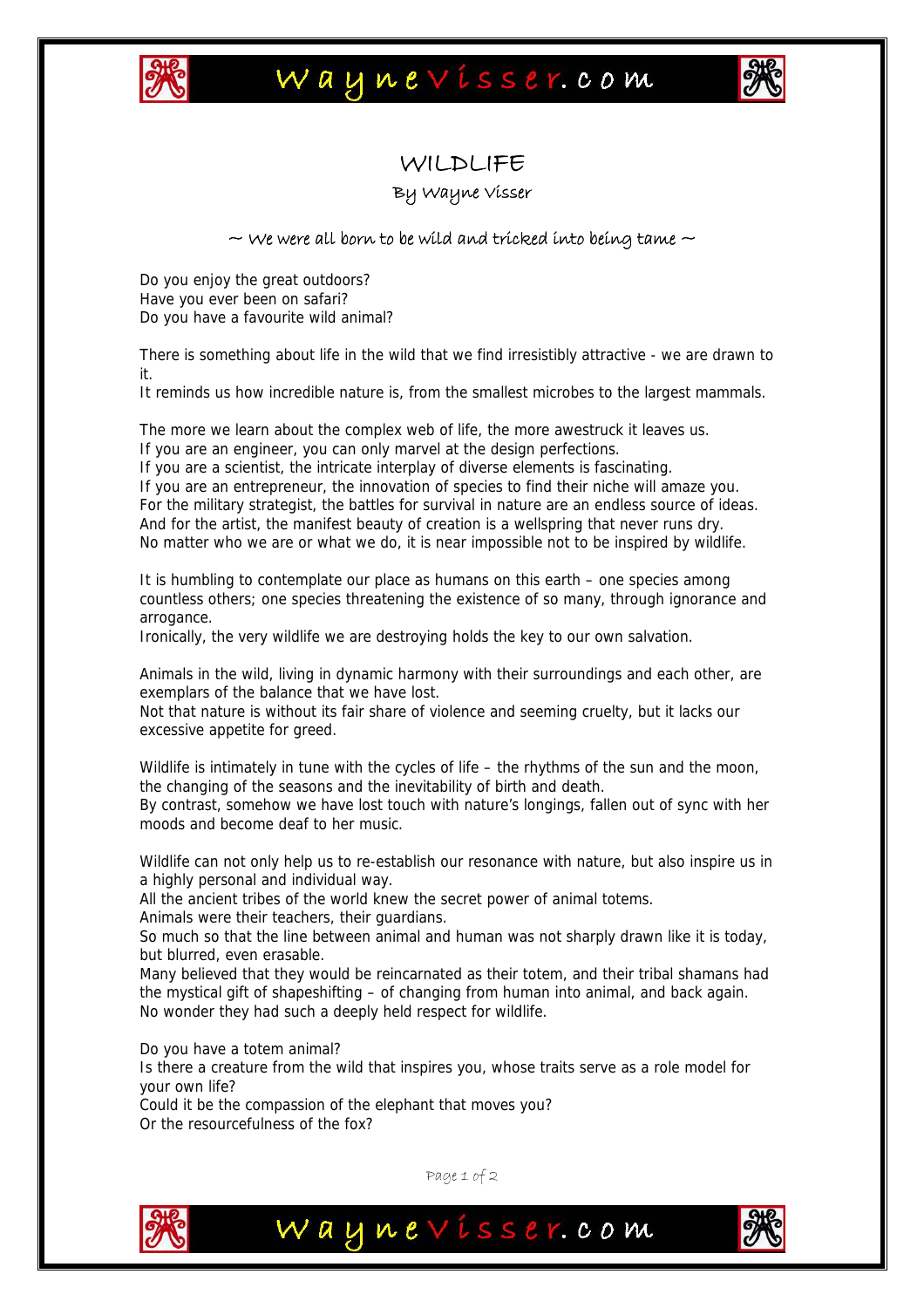

## Waynevisser.com



### WILDLIFE

#### By Wayne Visser

#### $\sim$  We were all born to be wild and tricked into being tame  $\sim$

Do you enjoy the great outdoors? Have you ever been on safari? Do you have a favourite wild animal?

There is something about life in the wild that we find irresistibly attractive - we are drawn to it.

It reminds us how incredible nature is, from the smallest microbes to the largest mammals.

The more we learn about the complex web of life, the more awestruck it leaves us.

If you are an engineer, you can only marvel at the design perfections.

If you are a scientist, the intricate interplay of diverse elements is fascinating.

If you are an entrepreneur, the innovation of species to find their niche will amaze you. For the military strategist, the battles for survival in nature are an endless source of ideas. And for the artist, the manifest beauty of creation is a wellspring that never runs dry. No matter who we are or what we do, it is near impossible not to be inspired by wildlife.

It is humbling to contemplate our place as humans on this earth – one species among countless others; one species threatening the existence of so many, through ignorance and arrogance.

Ironically, the very wildlife we are destroying holds the key to our own salvation.

Animals in the wild, living in dynamic harmony with their surroundings and each other, are exemplars of the balance that we have lost.

Not that nature is without its fair share of violence and seeming cruelty, but it lacks our excessive appetite for greed.

Wildlife is intimately in tune with the cycles of life – the rhythms of the sun and the moon, the changing of the seasons and the inevitability of birth and death.

By contrast, somehow we have lost touch with nature's longings, fallen out of sync with her moods and become deaf to her music.

Wildlife can not only help us to re-establish our resonance with nature, but also inspire us in a highly personal and individual way.

All the ancient tribes of the world knew the secret power of animal totems.

Animals were their teachers, their guardians.

So much so that the line between animal and human was not sharply drawn like it is today, but blurred, even erasable.

Many believed that they would be reincarnated as their totem, and their tribal shamans had the mystical gift of shapeshifting – of changing from human into animal, and back again. No wonder they had such a deeply held respect for wildlife.

Do you have a totem animal? Is there a creature from the wild that inspires you, whose traits serve as a role model for your own life? Could it be the compassion of the elephant that moves you?

Or the resourcefulness of the fox?



Page 1 of 2